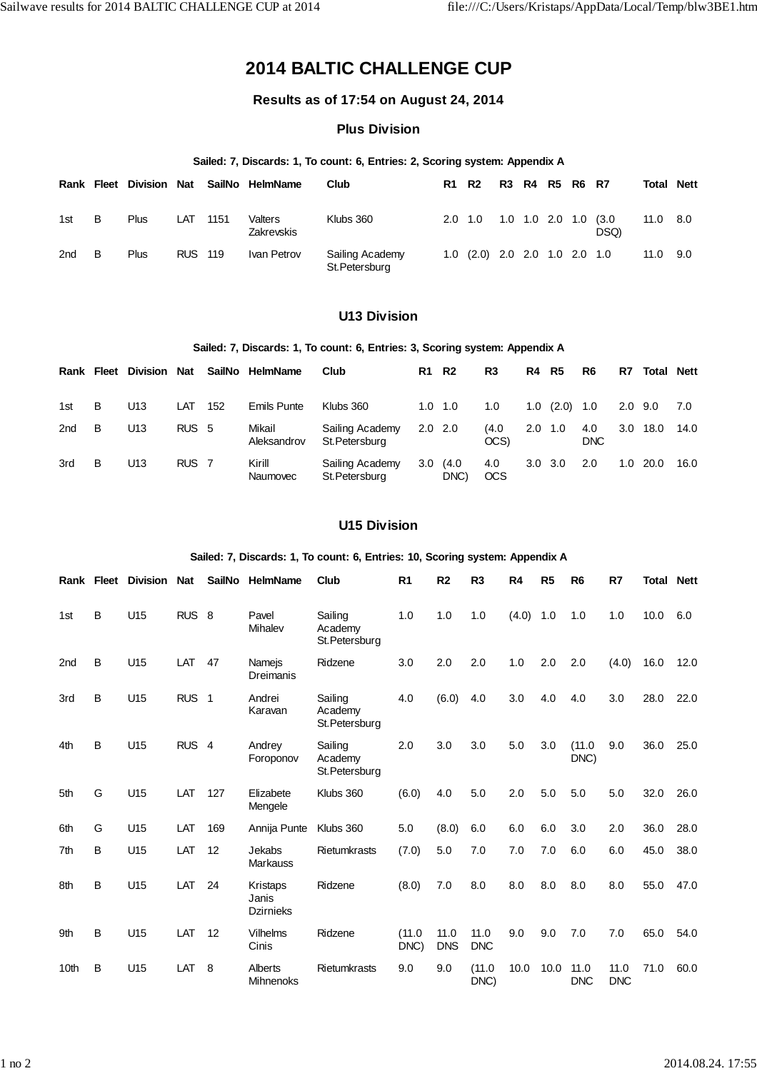# **2014 BALTIC CHALLENGE CUP**

# **Results as of 17:54 on August 24, 2014**

## **Plus Division**

#### **Sailed: 7, Discards: 1, To count: 6, Entries: 2, Scoring system: Appendix A**

|     |   | Rank Fleet Division | Nat            |      | SailNo HelmName       | Club                              | <b>R1 R2</b>    |                                             | R3 R4 R5 R6 R7  |  |               | Total | <b>Nett</b> |
|-----|---|---------------------|----------------|------|-----------------------|-----------------------------------|-----------------|---------------------------------------------|-----------------|--|---------------|-------|-------------|
| 1st | в | Plus                | LAT            | 1151 | Valters<br>Zakrevskis | Klubs 360                         | $2.0 \quad 1.0$ |                                             | 1.0 1.0 2.0 1.0 |  | (3.0)<br>DSQ) | 11.0  | 8.0         |
| 2nd | В | Plus                | <b>RUS 119</b> |      | Ivan Petrov           | Sailing Academy<br>St. Petersburg |                 | $1.0$ $(2.0)$ $2.0$ $2.0$ $1.0$ $2.0$ $1.0$ |                 |  |               | 11.0  | 9.0         |

# **U13 Division**

#### **Sailed: 7, Discards: 1, To count: 6, Entries: 3, Scoring system: Appendix A**

| Rank | Fleet | <b>Division</b> | <b>Nat</b>       | SailNo | HelmName              | Club                              | R1          | <b>R2</b>     | R3                | R4              | R5     | R6          | R7               | <b>Total Nett</b> |      |
|------|-------|-----------------|------------------|--------|-----------------------|-----------------------------------|-------------|---------------|-------------------|-----------------|--------|-------------|------------------|-------------------|------|
| 1st  | B     | U13             | LAT              | 152    | <b>Emils Punte</b>    | Klubs 360                         | 1.0         | $-1.0$        | 1.0               | 1.0             | (2.0)  | 1.0         | 2.0              | 9.0               | 7.0  |
| 2nd  | B     | U13             | RUS <sub>5</sub> |        | Mikail<br>Aleksandrov | Sailing Academy<br>St. Petersburg | $2.0$ $2.0$ |               | (4.0)<br>OCS)     | 2.0             | $-1.0$ | 4.0<br>DNC. | 3.0 <sub>2</sub> | 18.0              | 14.0 |
| 3rd  | B     | U13             | RUS <sub>7</sub> |        | Kirill<br>Naumovec    | Sailing Academy<br>St. Petersburg | 3.0         | (4.0)<br>DNC) | 4.0<br><b>OCS</b> | $3.0 \quad 3.0$ |        | 2.0         | 1.0              | 20.0              | 16.0 |

## **U15 Division**

### **Sailed: 7, Discards: 1, To count: 6, Entries: 10, Scoring system: Appendix A**

| Rank            | Fleet | Division        | <b>Nat</b>       | <b>SailNo</b>  | <b>HelmName</b>                       | Club                                 | R <sub>1</sub> | R <sub>2</sub>     | R <sub>3</sub>     | R4    | R <sub>5</sub> | R <sub>6</sub>     | R7                 | Total | <b>Nett</b> |
|-----------------|-------|-----------------|------------------|----------------|---------------------------------------|--------------------------------------|----------------|--------------------|--------------------|-------|----------------|--------------------|--------------------|-------|-------------|
| 1st             | B     | U15             | <b>RUS</b>       | -8             | Pavel<br>Mihalev                      | Sailing<br>Academy<br>St. Petersburg | 1.0            | 1.0                | 1.0                | (4.0) | 1.0            | 1.0                | 1.0                | 10.0  | 6.0         |
| 2 <sub>nd</sub> | B     | U15             | LAT              | 47             | Namejs<br><b>Dreimanis</b>            | Ridzene                              | 3.0            | 2.0                | 2.0                | 1.0   | 2.0            | 2.0                | (4.0)              | 16.0  | 12.0        |
| 3rd             | В     | U15             | <b>RUS</b>       | $\overline{1}$ | Andrei<br>Karavan                     | Sailing<br>Academy<br>St. Petersburg | 4.0            | (6.0)              | 4.0                | 3.0   | 4.0            | 4.0                | 3.0                | 28.0  | 22.0        |
| 4th             | B     | U <sub>15</sub> | RUS <sub>4</sub> |                | Andrey<br>Foroponov                   | Sailing<br>Academy<br>St. Petersburg | 2.0            | 3.0                | 3.0                | 5.0   | 3.0            | (11.0)<br>DNC)     | 9.0                | 36.0  | 25.0        |
| 5th             | G     | U15             | LAT              | 127            | Elizabete<br>Mengele                  | Klubs 360                            | (6.0)          | 4.0                | 5.0                | 2.0   | 5.0            | 5.0                | 5.0                | 32.0  | 26.0        |
| 6th             | G     | U15             | LAT              | 169            | Annija Punte                          | Klubs 360                            | 5.0            | (8.0)              | 6.0                | 6.0   | 6.0            | 3.0                | 2.0                | 36.0  | 28.0        |
| 7th             | В     | U15             | LAT              | 12             | Jekabs<br><b>Markauss</b>             | Rietumkrasts                         | (7.0)          | 5.0                | 7.0                | 7.0   | 7.0            | 6.0                | 6.0                | 45.0  | 38.0        |
| 8th             | B     | U15             | LAT              | 24             | Kristaps<br>Janis<br><b>Dzirnieks</b> | Ridzene                              | (8.0)          | 7.0                | 8.0                | 8.0   | 8.0            | 8.0                | 8.0                | 55.0  | 47.0        |
| 9th             | B     | U <sub>15</sub> | LAT              | 12             | <b>Vilhelms</b><br>Cinis              | Ridzene                              | (11.0)<br>DNC) | 11.0<br><b>DNS</b> | 11.0<br><b>DNC</b> | 9.0   | 9.0            | 7.0                | 7.0                | 65.0  | 54.0        |
| 10th            | в     | U15             | LAT              | 8              | Alberts<br>Mihnenoks                  | Rietumkrasts                         | 9.0            | 9.0                | (11.0<br>DNC)      | 10.0  | 10.0           | 11.0<br><b>DNC</b> | 11.0<br><b>DNC</b> | 71.0  | 60.0        |